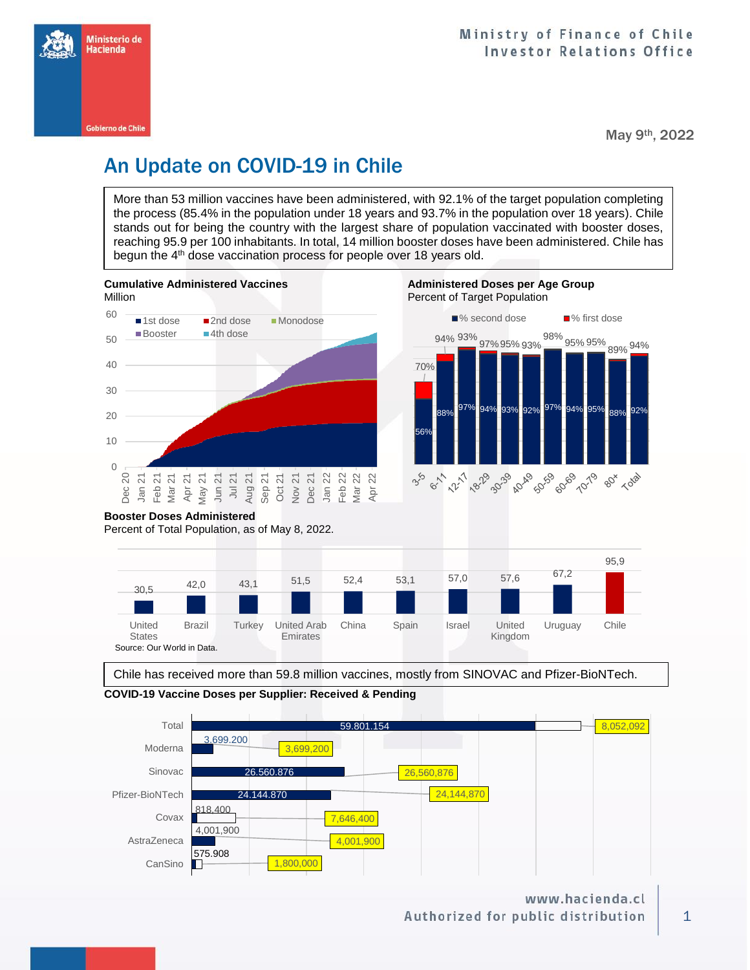

May 9th, 2022

# An Update on COVID-19 in Chile

More than 53 million vaccines have been administered, with 92.1% of the target population completing the process (85.4% in the population under 18 years and 93.7% in the population over 18 years). Chile stands out for being the country with the largest share of population vaccinated with booster doses, reaching 95.9 per 100 inhabitants. In total, 14 million booster doses have been administered. Chile has begun the 4<sup>th</sup> dose vaccination process for people over 18 years old.





Chile has received more than 59.8 million vaccines, mostly from SINOVAC and Pfizer-BioNTech.



**COVID-19 Vaccine Doses per Supplier: Received & Pending**

www.hacienda.cl Authorized for public distribution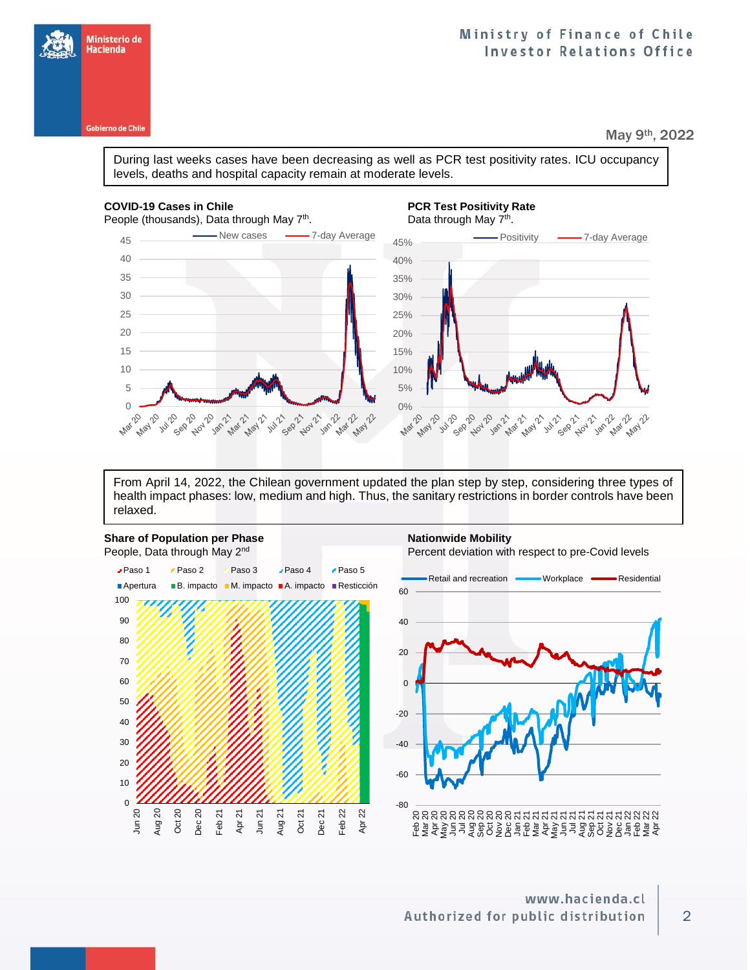**Gobierno de Chile** 

# Ministry of Finance of Chile **Investor Relations Office**

May 9th, 2022

During last weeks cases have been decreasing as well as PCR test positivity rates. ICU occupancy levels, deaths and hospital capacity remain at moderate levels.

### **COVID-19 Cases in Chile PCR Test Positivity Rate**

People (thousands), Data through May 7<sup>th</sup>





From April 14, 2022, the Chilean government updated the plan step by step, considering three types of health impact phases: low, medium and high. Thus, the sanitary restrictions in border controls have been relaxed.





2